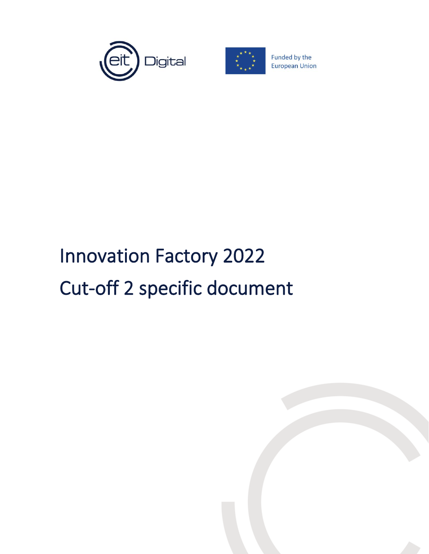



Funded by the **European Union** 

## Innovation Factory 2022 Cut-off 2 specific document